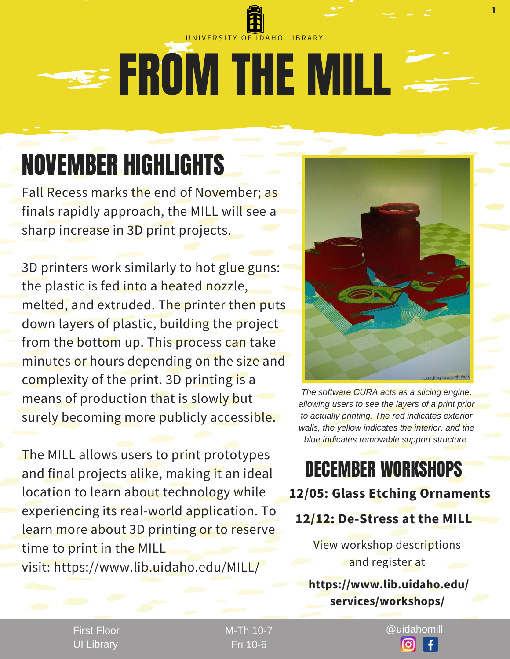## **SEE FROM THE MILL** UNIVERSITY OF IDAHO LIBRARY

## NOVEMBER HIGHLIGHTS

Fall Recess marks the end of November; as finals rapidly approach, the MILL will see a sharp increase in 3D print projects.

3D printers work similarly to hot glue guns: the plastic is fed into a heated nozzle, melted, and extruded. The printer then puts down layers of plastic, building the project from the bottom up. This process can take minutes or hours depending on the size and complexity of the print. 3D printing is a means of production that is slowly but surely becoming more publicly accessible.

The MILL allows users to print prototypes and final projects alike, making it an ideal location to learn about technology while experiencing its real-world application. To learn more about 3D printing or to reserve time to print in the MILL visit: https://www.lib.uidaho.edu/MILL/



1

*The software CURA acts as a slicing engine, allowing users to see the layers of a print prior to actually printing. The red indicates exterior walls, the yellow indicates the interior, and the blue indicates removable support structure.*

### DECEMBER WORKSHOPS **12/05: Glass Etching Ornaments**

#### **12/12: De-Stress at the MILL**

View workshop descriptions and register at

#### **https://www.lib.uidaho.edu/ services/workshops/**

First Floor UI Library

Fri 10-6